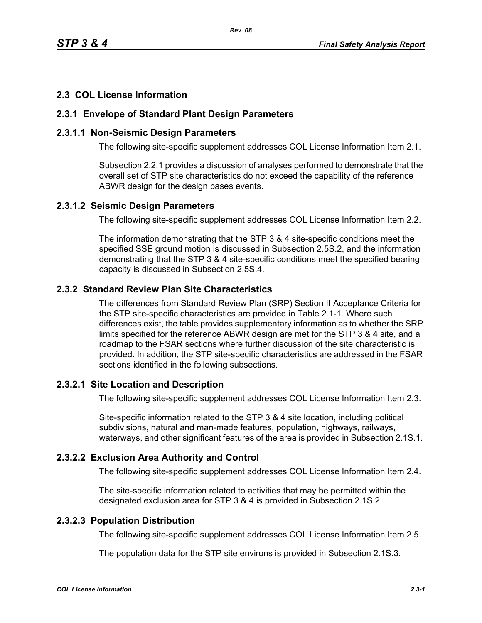### **2.3 COL License Information**

#### **2.3.1 Envelope of Standard Plant Design Parameters**

#### **2.3.1.1 Non-Seismic Design Parameters**

The following site-specific supplement addresses COL License Information Item 2.1.

Subsection 2.2.1 provides a discussion of analyses performed to demonstrate that the overall set of STP site characteristics do not exceed the capability of the reference ABWR design for the design bases events.

#### **2.3.1.2 Seismic Design Parameters**

The following site-specific supplement addresses COL License Information Item 2.2.

The information demonstrating that the STP 3 & 4 site-specific conditions meet the specified SSE ground motion is discussed in Subsection 2.5S.2, and the information demonstrating that the STP 3 & 4 site-specific conditions meet the specified bearing capacity is discussed in Subsection 2.5S.4.

### **2.3.2 Standard Review Plan Site Characteristics**

The differences from Standard Review Plan (SRP) Section II Acceptance Criteria for the STP site-specific characteristics are provided in Table 2.1-1. Where such differences exist, the table provides supplementary information as to whether the SRP limits specified for the reference ABWR design are met for the STP 3 & 4 site, and a roadmap to the FSAR sections where further discussion of the site characteristic is provided. In addition, the STP site-specific characteristics are addressed in the FSAR sections identified in the following subsections.

### **2.3.2.1 Site Location and Description**

The following site-specific supplement addresses COL License Information Item 2.3.

Site-specific information related to the STP 3 & 4 site location, including political subdivisions, natural and man-made features, population, highways, railways, waterways, and other significant features of the area is provided in Subsection 2.1S.1.

### **2.3.2.2 Exclusion Area Authority and Control**

The following site-specific supplement addresses COL License Information Item 2.4.

The site-specific information related to activities that may be permitted within the designated exclusion area for STP 3 & 4 is provided in Subsection 2.1S.2.

# **2.3.2.3 Population Distribution**

The following site-specific supplement addresses COL License Information Item 2.5.

The population data for the STP site environs is provided in Subsection 2.1S.3.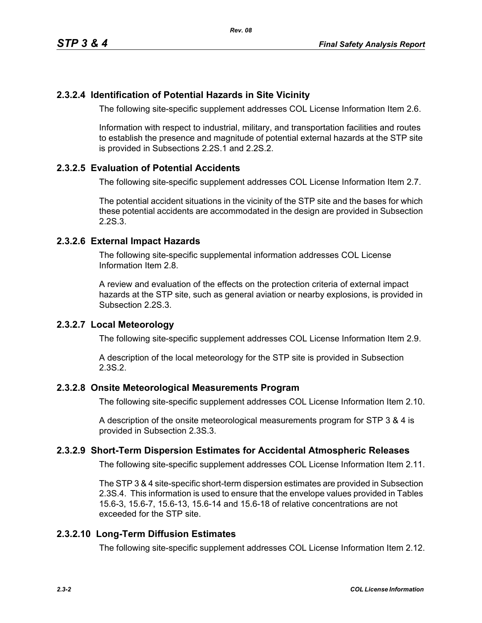### **2.3.2.4 Identification of Potential Hazards in Site Vicinity**

The following site-specific supplement addresses COL License Information Item 2.6.

Information with respect to industrial, military, and transportation facilities and routes to establish the presence and magnitude of potential external hazards at the STP site is provided in Subsections 2.2S.1 and 2.2S.2.

#### **2.3.2.5 Evaluation of Potential Accidents**

The following site-specific supplement addresses COL License Information Item 2.7.

The potential accident situations in the vicinity of the STP site and the bases for which these potential accidents are accommodated in the design are provided in Subsection 2.2S.3.

#### **2.3.2.6 External Impact Hazards**

The following site-specific supplemental information addresses COL License Information Item 2.8.

A review and evaluation of the effects on the protection criteria of external impact hazards at the STP site, such as general aviation or nearby explosions, is provided in Subsection 2.2S.3.

#### **2.3.2.7 Local Meteorology**

The following site-specific supplement addresses COL License Information Item 2.9.

A description of the local meteorology for the STP site is provided in Subsection 2.3S.2.

#### **2.3.2.8 Onsite Meteorological Measurements Program**

The following site-specific supplement addresses COL License Information Item 2.10.

A description of the onsite meteorological measurements program for STP 3 & 4 is provided in Subsection 2.3S.3.

### **2.3.2.9 Short-Term Dispersion Estimates for Accidental Atmospheric Releases**

The following site-specific supplement addresses COL License Information Item 2.11.

The STP 3 & 4 site-specific short-term dispersion estimates are provided in Subsection 2.3S.4. This information is used to ensure that the envelope values provided in Tables 15.6-3, 15.6-7, 15.6-13, 15.6-14 and 15.6-18 of relative concentrations are not exceeded for the STP site.

### **2.3.2.10 Long-Term Diffusion Estimates**

The following site-specific supplement addresses COL License Information Item 2.12.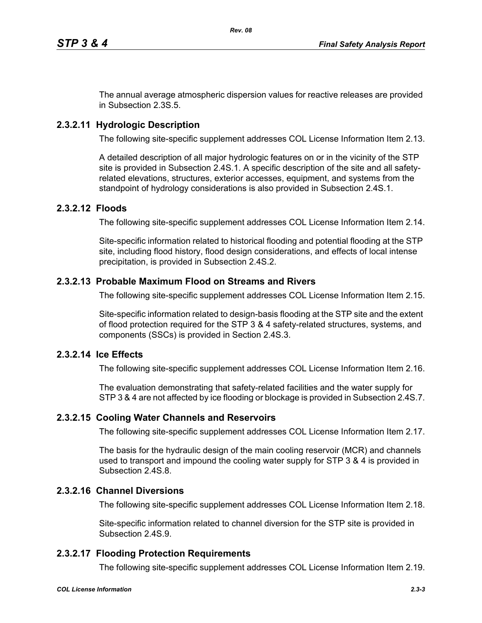The annual average atmospheric dispersion values for reactive releases are provided in Subsection 2.3S.5.

# **2.3.2.11 Hydrologic Description**

The following site-specific supplement addresses COL License Information Item 2.13.

A detailed description of all major hydrologic features on or in the vicinity of the STP site is provided in Subsection 2.4S.1. A specific description of the site and all safetyrelated elevations, structures, exterior accesses, equipment, and systems from the standpoint of hydrology considerations is also provided in Subsection 2.4S.1.

### **2.3.2.12 Floods**

The following site-specific supplement addresses COL License Information Item 2.14.

Site-specific information related to historical flooding and potential flooding at the STP site, including flood history, flood design considerations, and effects of local intense precipitation, is provided in Subsection 2.4S.2.

### **2.3.2.13 Probable Maximum Flood on Streams and Rivers**

The following site-specific supplement addresses COL License Information Item 2.15.

Site-specific information related to design-basis flooding at the STP site and the extent of flood protection required for the STP 3 & 4 safety-related structures, systems, and components (SSCs) is provided in Section 2.4S.3.

### **2.3.2.14 Ice Effects**

The following site-specific supplement addresses COL License Information Item 2.16.

The evaluation demonstrating that safety-related facilities and the water supply for STP 3 & 4 are not affected by ice flooding or blockage is provided in Subsection 2.4S.7.

### **2.3.2.15 Cooling Water Channels and Reservoirs**

The following site-specific supplement addresses COL License Information Item 2.17.

The basis for the hydraulic design of the main cooling reservoir (MCR) and channels used to transport and impound the cooling water supply for STP 3 & 4 is provided in Subsection 2.4S.8.

# **2.3.2.16 Channel Diversions**

The following site-specific supplement addresses COL License Information Item 2.18.

Site-specific information related to channel diversion for the STP site is provided in Subsection 2.4S.9.

# **2.3.2.17 Flooding Protection Requirements**

The following site-specific supplement addresses COL License Information Item 2.19.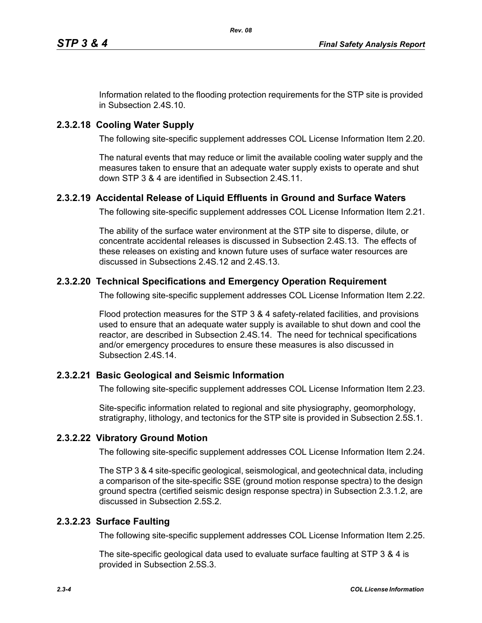Information related to the flooding protection requirements for the STP site is provided in Subsection 2.4S.10.

# **2.3.2.18 Cooling Water Supply**

The following site-specific supplement addresses COL License Information Item 2.20.

The natural events that may reduce or limit the available cooling water supply and the measures taken to ensure that an adequate water supply exists to operate and shut down STP 3 & 4 are identified in Subsection 2.4S.11.

# **2.3.2.19 Accidental Release of Liquid Effluents in Ground and Surface Waters**

The following site-specific supplement addresses COL License Information Item 2.21.

The ability of the surface water environment at the STP site to disperse, dilute, or concentrate accidental releases is discussed in Subsection 2.4S.13. The effects of these releases on existing and known future uses of surface water resources are discussed in Subsections 2.4S.12 and 2.4S.13.

# **2.3.2.20 Technical Specifications and Emergency Operation Requirement**

The following site-specific supplement addresses COL License Information Item 2.22.

Flood protection measures for the STP 3 & 4 safety-related facilities, and provisions used to ensure that an adequate water supply is available to shut down and cool the reactor, are described in Subsection 2.4S.14. The need for technical specifications and/or emergency procedures to ensure these measures is also discussed in Subsection 2.4S.14.

# **2.3.2.21 Basic Geological and Seismic Information**

The following site-specific supplement addresses COL License Information Item 2.23.

Site-specific information related to regional and site physiography, geomorphology, stratigraphy, lithology, and tectonics for the STP site is provided in Subsection 2.5S.1.

# **2.3.2.22 Vibratory Ground Motion**

The following site-specific supplement addresses COL License Information Item 2.24.

The STP 3 & 4 site-specific geological, seismological, and geotechnical data, including a comparison of the site-specific SSE (ground motion response spectra) to the design ground spectra (certified seismic design response spectra) in Subsection 2.3.1.2, are discussed in Subsection 2.5S.2.

# **2.3.2.23 Surface Faulting**

The following site-specific supplement addresses COL License Information Item 2.25.

The site-specific geological data used to evaluate surface faulting at STP 3 & 4 is provided in Subsection 2.5S.3.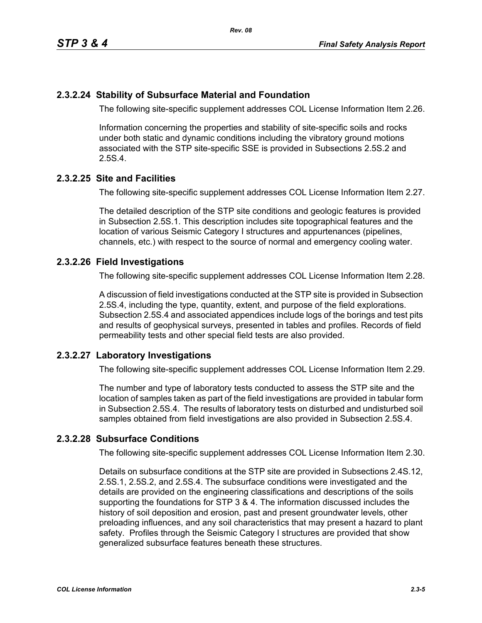### **2.3.2.24 Stability of Subsurface Material and Foundation**

The following site-specific supplement addresses COL License Information Item 2.26.

Information concerning the properties and stability of site-specific soils and rocks under both static and dynamic conditions including the vibratory ground motions associated with the STP site-specific SSE is provided in Subsections 2.5S.2 and 2.5S.4.

### **2.3.2.25 Site and Facilities**

The following site-specific supplement addresses COL License Information Item 2.27.

The detailed description of the STP site conditions and geologic features is provided in Subsection 2.5S.1. This description includes site topographical features and the location of various Seismic Category I structures and appurtenances (pipelines, channels, etc.) with respect to the source of normal and emergency cooling water.

### **2.3.2.26 Field Investigations**

The following site-specific supplement addresses COL License Information Item 2.28.

A discussion of field investigations conducted at the STP site is provided in Subsection 2.5S.4, including the type, quantity, extent, and purpose of the field explorations. Subsection 2.5S.4 and associated appendices include logs of the borings and test pits and results of geophysical surveys, presented in tables and profiles. Records of field permeability tests and other special field tests are also provided.

### **2.3.2.27 Laboratory Investigations**

The following site-specific supplement addresses COL License Information Item 2.29.

The number and type of laboratory tests conducted to assess the STP site and the location of samples taken as part of the field investigations are provided in tabular form in Subsection 2.5S.4. The results of laboratory tests on disturbed and undisturbed soil samples obtained from field investigations are also provided in Subsection 2.5S.4.

## **2.3.2.28 Subsurface Conditions**

The following site-specific supplement addresses COL License Information Item 2.30.

Details on subsurface conditions at the STP site are provided in Subsections 2.4S.12, 2.5S.1, 2.5S.2, and 2.5S.4. The subsurface conditions were investigated and the details are provided on the engineering classifications and descriptions of the soils supporting the foundations for STP 3 & 4. The information discussed includes the history of soil deposition and erosion, past and present groundwater levels, other preloading influences, and any soil characteristics that may present a hazard to plant safety. Profiles through the Seismic Category I structures are provided that show generalized subsurface features beneath these structures.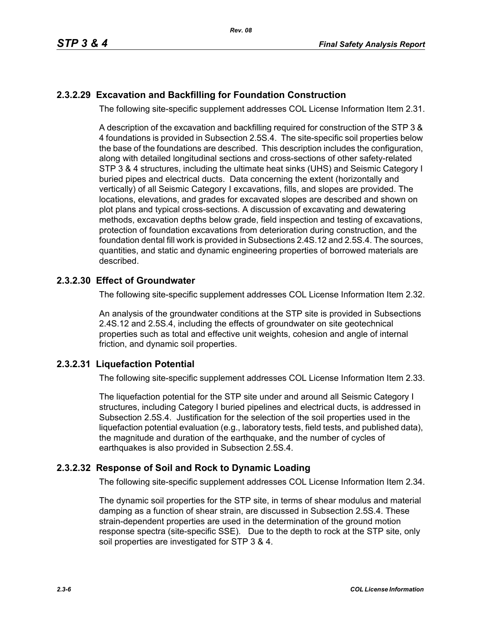## **2.3.2.29 Excavation and Backfilling for Foundation Construction**

The following site-specific supplement addresses COL License Information Item 2.31.

A description of the excavation and backfilling required for construction of the STP 3 & 4 foundations is provided in Subsection 2.5S.4. The site-specific soil properties below the base of the foundations are described. This description includes the configuration, along with detailed longitudinal sections and cross-sections of other safety-related STP 3 & 4 structures, including the ultimate heat sinks (UHS) and Seismic Category I buried pipes and electrical ducts. Data concerning the extent (horizontally and vertically) of all Seismic Category I excavations, fills, and slopes are provided. The locations, elevations, and grades for excavated slopes are described and shown on plot plans and typical cross-sections. A discussion of excavating and dewatering methods, excavation depths below grade, field inspection and testing of excavations, protection of foundation excavations from deterioration during construction, and the foundation dental fill work is provided in Subsections 2.4S.12 and 2.5S.4. The sources, quantities, and static and dynamic engineering properties of borrowed materials are described.

### **2.3.2.30 Effect of Groundwater**

The following site-specific supplement addresses COL License Information Item 2.32.

An analysis of the groundwater conditions at the STP site is provided in Subsections 2.4S.12 and 2.5S.4, including the effects of groundwater on site geotechnical properties such as total and effective unit weights, cohesion and angle of internal friction, and dynamic soil properties.

### **2.3.2.31 Liquefaction Potential**

The following site-specific supplement addresses COL License Information Item 2.33.

The liquefaction potential for the STP site under and around all Seismic Category I structures, including Category I buried pipelines and electrical ducts, is addressed in Subsection 2.5S.4. Justification for the selection of the soil properties used in the liquefaction potential evaluation (e.g., laboratory tests, field tests, and published data), the magnitude and duration of the earthquake, and the number of cycles of earthquakes is also provided in Subsection 2.5S.4.

### **2.3.2.32 Response of Soil and Rock to Dynamic Loading**

The following site-specific supplement addresses COL License Information Item 2.34.

The dynamic soil properties for the STP site, in terms of shear modulus and material damping as a function of shear strain, are discussed in Subsection 2.5S.4. These strain-dependent properties are used in the determination of the ground motion response spectra (site-specific SSE). Due to the depth to rock at the STP site, only soil properties are investigated for STP 3 & 4.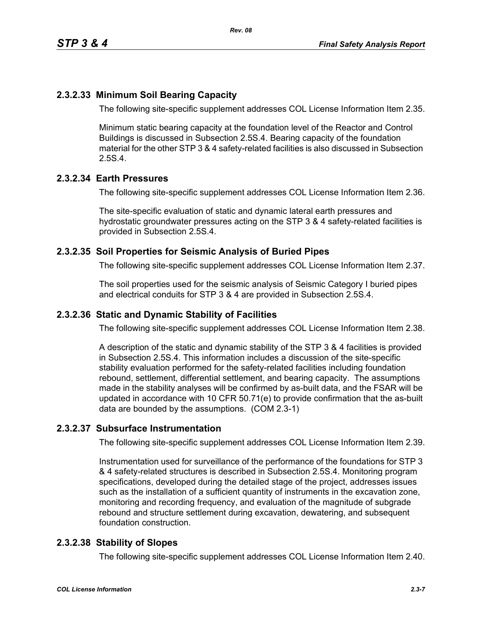### **2.3.2.33 Minimum Soil Bearing Capacity**

The following site-specific supplement addresses COL License Information Item 2.35.

Minimum static bearing capacity at the foundation level of the Reactor and Control Buildings is discussed in Subsection 2.5S.4. Bearing capacity of the foundation material for the other STP 3 & 4 safety-related facilities is also discussed in Subsection 2.5S.4.

#### **2.3.2.34 Earth Pressures**

The following site-specific supplement addresses COL License Information Item 2.36.

The site-specific evaluation of static and dynamic lateral earth pressures and hydrostatic groundwater pressures acting on the STP 3 & 4 safety-related facilities is provided in Subsection 2.5S.4.

#### **2.3.2.35 Soil Properties for Seismic Analysis of Buried Pipes**

The following site-specific supplement addresses COL License Information Item 2.37.

The soil properties used for the seismic analysis of Seismic Category I buried pipes and electrical conduits for STP 3 & 4 are provided in Subsection 2.5S.4.

#### **2.3.2.36 Static and Dynamic Stability of Facilities**

The following site-specific supplement addresses COL License Information Item 2.38.

A description of the static and dynamic stability of the STP 3 & 4 facilities is provided in Subsection 2.5S.4. This information includes a discussion of the site-specific stability evaluation performed for the safety-related facilities including foundation rebound, settlement, differential settlement, and bearing capacity. The assumptions made in the stability analyses will be confirmed by as-built data, and the FSAR will be updated in accordance with 10 CFR 50.71(e) to provide confirmation that the as-built data are bounded by the assumptions. (COM 2.3-1)

#### **2.3.2.37 Subsurface Instrumentation**

The following site-specific supplement addresses COL License Information Item 2.39.

Instrumentation used for surveillance of the performance of the foundations for STP 3 & 4 safety-related structures is described in Subsection 2.5S.4. Monitoring program specifications, developed during the detailed stage of the project, addresses issues such as the installation of a sufficient quantity of instruments in the excavation zone, monitoring and recording frequency, and evaluation of the magnitude of subgrade rebound and structure settlement during excavation, dewatering, and subsequent foundation construction.

#### **2.3.2.38 Stability of Slopes**

The following site-specific supplement addresses COL License Information Item 2.40.